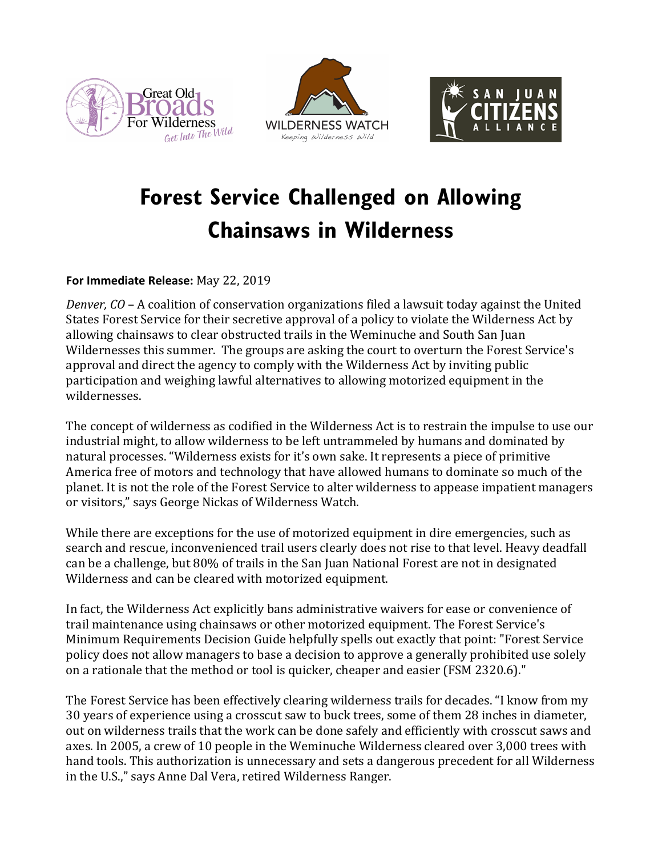





## **Forest Service Challenged on Allowing Chainsaws in Wilderness**

**For Immediate Release:** May 22, 2019

*Denver, CO* – A coalition of conservation organizations filed a lawsuit today against the United States Forest Service for their secretive approval of a policy to violate the Wilderness Act by allowing chainsaws to clear obstructed trails in the Weminuche and South San Juan Wildernesses this summer. The groups are asking the court to overturn the Forest Service's approval and direct the agency to comply with the Wilderness Act by inviting public participation and weighing lawful alternatives to allowing motorized equipment in the wildernesses.

The concept of wilderness as codified in the Wilderness Act is to restrain the impulse to use our industrial might, to allow wilderness to be left untrammeled by humans and dominated by natural processes. "Wilderness exists for it's own sake. It represents a piece of primitive America free of motors and technology that have allowed humans to dominate so much of the planet. It is not the role of the Forest Service to alter wilderness to appease impatient managers or visitors," says George Nickas of Wilderness Watch.

While there are exceptions for the use of motorized equipment in dire emergencies, such as search and rescue, inconvenienced trail users clearly does not rise to that level. Heavy deadfall can be a challenge, but 80% of trails in the San Juan National Forest are not in designated Wilderness and can be cleared with motorized equipment.

In fact, the Wilderness Act explicitly bans administrative waivers for ease or convenience of trail maintenance using chainsaws or other motorized equipment. The Forest Service's Minimum Requirements Decision Guide helpfully spells out exactly that point: "Forest Service policy does not allow managers to base a decision to approve a generally prohibited use solely on a rationale that the method or tool is quicker, cheaper and easier (FSM 2320.6)."

The Forest Service has been effectively clearing wilderness trails for decades. "I know from my 30 years of experience using a crosscut saw to buck trees, some of them 28 inches in diameter, out on wilderness trails that the work can be done safely and efficiently with crosscut saws and axes. In 2005, a crew of 10 people in the Weminuche Wilderness cleared over 3,000 trees with hand tools. This authorization is unnecessary and sets a dangerous precedent for all Wilderness in the U.S.," says Anne Dal Vera, retired Wilderness Ranger.